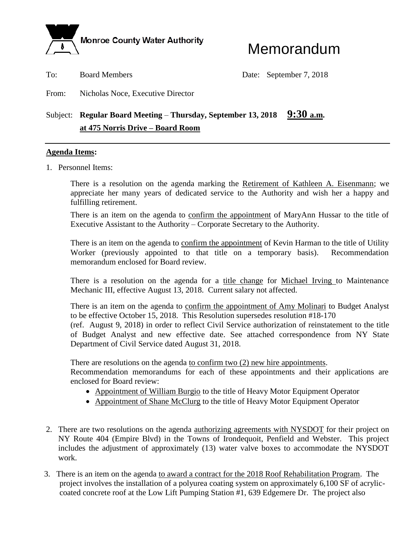

# Memorandum

To: Board Members Date: September 7, 2018

From: Nicholas Noce, Executive Director

# Subject: **Regular Board Meeting** – **Thursday, September 13, 2018 9:30 a.m. at 475 Norris Drive – Board Room**

#### **Agenda Items:**

1. Personnel Items:

There is a resolution on the agenda marking the Retirement of Kathleen A. Eisenmann; we appreciate her many years of dedicated service to the Authority and wish her a happy and fulfilling retirement.

There is an item on the agenda to confirm the appointment of MaryAnn Hussar to the title of Executive Assistant to the Authority – Corporate Secretary to the Authority.

There is an item on the agenda to confirm the appointment of Kevin Harman to the title of Utility Worker (previously appointed to that title on a temporary basis). Recommendation memorandum enclosed for Board review.

There is a resolution on the agenda for a title change for Michael Irving to Maintenance Mechanic III, effective August 13, 2018. Current salary not affected.

There is an item on the agenda to confirm the appointment of Amy Molinari to Budget Analyst to be effective October 15, 2018. This Resolution supersedes resolution #18-170 (ref. August 9, 2018) in order to reflect Civil Service authorization of reinstatement to the title of Budget Analyst and new effective date. See attached correspondence from NY State Department of Civil Service dated August 31, 2018.

There are resolutions on the agenda to confirm two (2) new hire appointments. Recommendation memorandums for each of these appointments and their applications are enclosed for Board review:

- Appointment of William Burgio to the title of Heavy Motor Equipment Operator
- Appointment of Shane McClurg to the title of Heavy Motor Equipment Operator
- 2. There are two resolutions on the agenda <u>authorizing agreements</u> with NYSDOT for their project on NY Route 404 (Empire Blvd) in the Towns of Irondequoit, Penfield and Webster. This project includes the adjustment of approximately (13) water valve boxes to accommodate the NYSDOT work.
- 3. There is an item on the agenda to award a contract for the 2018 Roof Rehabilitation Program. The project involves the installation of a polyurea coating system on approximately 6,100 SF of acryliccoated concrete roof at the Low Lift Pumping Station #1, 639 Edgemere Dr. The project also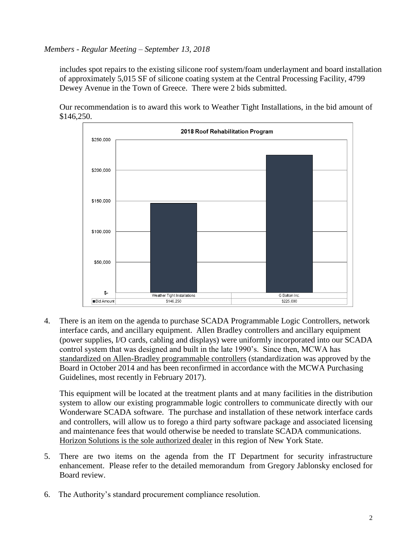## *Members - Regular Meeting – September 13, 2018*

includes spot repairs to the existing silicone roof system/foam underlayment and board installation of approximately 5,015 SF of silicone coating system at the Central Processing Facility, 4799 Dewey Avenue in the Town of Greece. There were 2 bids submitted.

Our recommendation is to award this work to Weather Tight Installations, in the bid amount of \$146,250.



4. There is an item on the agenda to purchase SCADA Programmable Logic Controllers, network interface cards, and ancillary equipment. Allen Bradley controllers and ancillary equipment (power supplies, I/O cards, cabling and displays) were uniformly incorporated into our SCADA control system that was designed and built in the late 1990's. Since then, MCWA has standardized on Allen-Bradley programmable controllers (standardization was approved by the Board in October 2014 and has been reconfirmed in accordance with the MCWA Purchasing Guidelines, most recently in February 2017).

This equipment will be located at the treatment plants and at many facilities in the distribution system to allow our existing programmable logic controllers to communicate directly with our Wonderware SCADA software. The purchase and installation of these network interface cards and controllers, will allow us to forego a third party software package and associated licensing and maintenance fees that would otherwise be needed to translate SCADA communications. Horizon Solutions is the sole authorized dealer in this region of New York State.

- 5. There are two items on the agenda from the IT Department for security infrastructure enhancement. Please refer to the detailed memorandum from Gregory Jablonsky enclosed for Board review.
- 6. The Authority's standard procurement compliance resolution.